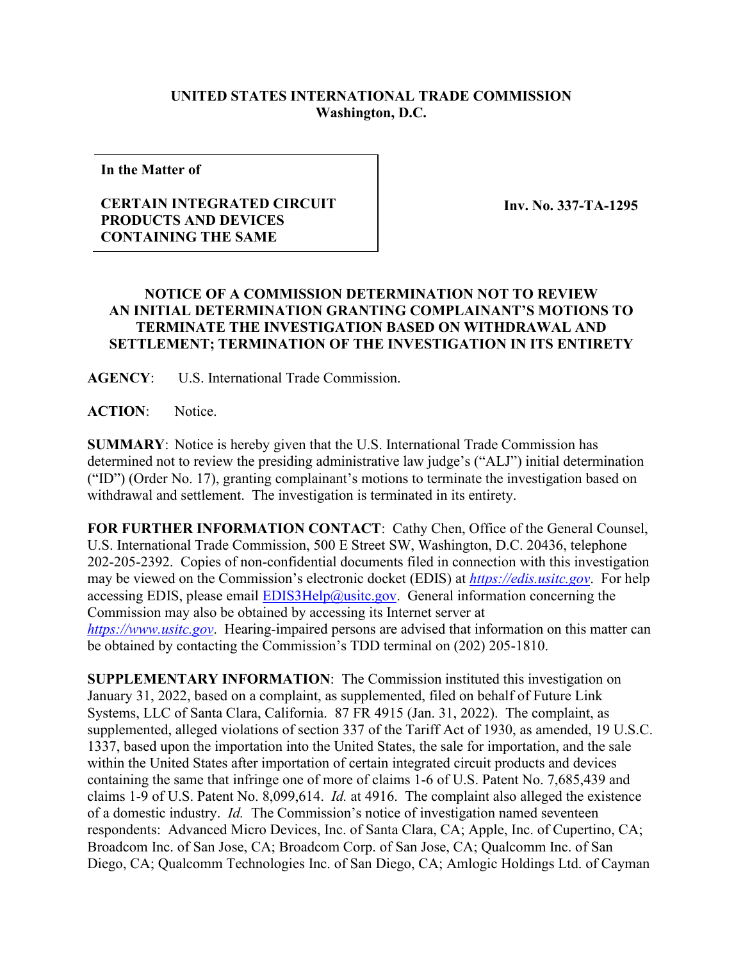## **UNITED STATES INTERNATIONAL TRADE COMMISSION Washington, D.C.**

**In the Matter of**

## **CERTAIN INTEGRATED CIRCUIT PRODUCTS AND DEVICES CONTAINING THE SAME**

**Inv. No. 337-TA-1295**

## **NOTICE OF A COMMISSION DETERMINATION NOT TO REVIEW AN INITIAL DETERMINATION GRANTING COMPLAINANT'S MOTIONS TO TERMINATE THE INVESTIGATION BASED ON WITHDRAWAL AND SETTLEMENT; TERMINATION OF THE INVESTIGATION IN ITS ENTIRETY**

**AGENCY**: U.S. International Trade Commission.

**ACTION**: Notice.

**SUMMARY**: Notice is hereby given that the U.S. International Trade Commission has determined not to review the presiding administrative law judge's ("ALJ") initial determination ("ID") (Order No. 17), granting complainant's motions to terminate the investigation based on withdrawal and settlement. The investigation is terminated in its entirety.

**FOR FURTHER INFORMATION CONTACT**: Cathy Chen, Office of the General Counsel, U.S. International Trade Commission, 500 E Street SW, Washington, D.C. 20436, telephone 202-205-2392. Copies of non-confidential documents filed in connection with this investigation may be viewed on the Commission's electronic docket (EDIS) at *[https://edis.usitc.gov](https://edis.usitc.gov/)*. For help accessing EDIS, please email **EDIS3Help@usitc.gov**. General information concerning the Commission may also be obtained by accessing its Internet server at *[https://www.usitc.gov](https://www.usitc.gov/)*. Hearing-impaired persons are advised that information on this matter can be obtained by contacting the Commission's TDD terminal on (202) 205-1810.

**SUPPLEMENTARY INFORMATION**: The Commission instituted this investigation on January 31, 2022, based on a complaint, as supplemented, filed on behalf of Future Link Systems, LLC of Santa Clara, California. 87 FR 4915 (Jan. 31, 2022). The complaint, as supplemented, alleged violations of section 337 of the Tariff Act of 1930, as amended, 19 U.S.C. 1337, based upon the importation into the United States, the sale for importation, and the sale within the United States after importation of certain integrated circuit products and devices containing the same that infringe one of more of claims 1-6 of U.S. Patent No. 7,685,439 and claims 1-9 of U.S. Patent No. 8,099,614. *Id.* at 4916.The complaint also alleged the existence of a domestic industry. *Id.* The Commission's notice of investigation named seventeen respondents: Advanced Micro Devices, Inc. of Santa Clara, CA; Apple, Inc. of Cupertino, CA; Broadcom Inc. of San Jose, CA; Broadcom Corp. of San Jose, CA; Qualcomm Inc. of San Diego, CA; Qualcomm Technologies Inc. of San Diego, CA; Amlogic Holdings Ltd. of Cayman